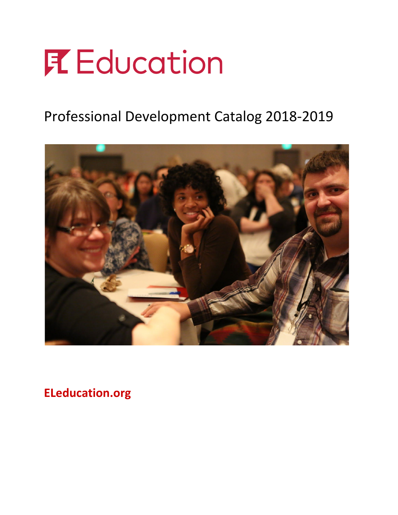# **FE** Education

# Professional Development Catalog 2018-2019



**ELeducation.org**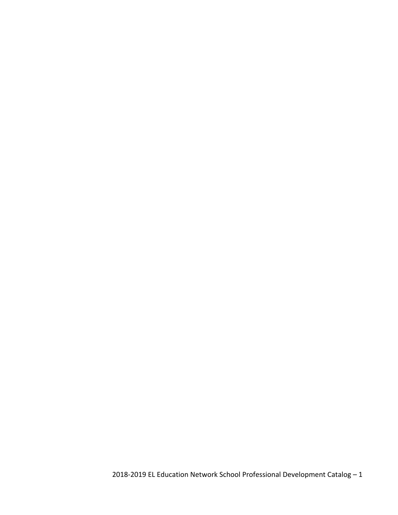2018-2019 EL Education Network School Professional Development Catalog – 1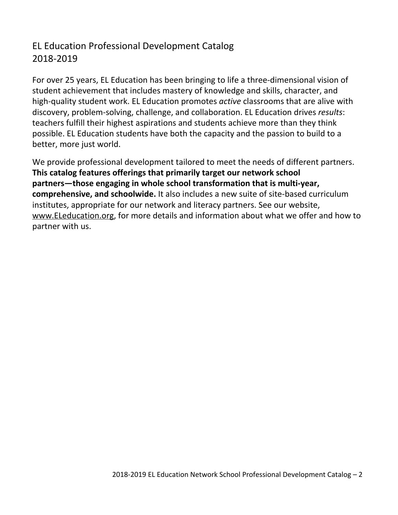# EL Education Professional Development Catalog 2018-2019

For over 25 years, EL Education has been bringing to life a three-dimensional vision of student achievement that includes mastery of knowledge and skills, character, and high-quality student work. EL Education promotes *active* classrooms that are alive with discovery, problem-solving, challenge, and collaboration. EL Education drives *results*: teachers fulfill their highest aspirations and students achieve more than they think possible. EL Education students have both the capacity and the passion to build to a better, more just world.

We provide professional development tailored to meet the needs of different partners. **This catalog features offerings that primarily target our network school partners—those engaging in whole school transformation that is multi-year, comprehensive, and schoolwide.** It also includes a new suite of site-based curriculum institutes, appropriate for our network and literacy partners. See our website, [www.ELeducation.org,](http://www.eleducation.org/) for more details and information about what we offer and how to partner with us.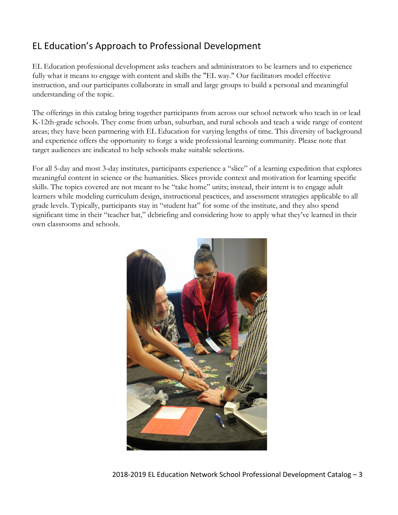# EL Education's Approach to Professional Development

EL Education professional development asks teachers and administrators to be learners and to experience fully what it means to engage with content and skills the "EL way." Our facilitators model effective instruction, and our participants collaborate in small and large groups to build a personal and meaningful understanding of the topic.

The offerings in this catalog bring together participants from across our school network who teach in or lead K-12th-grade schools. They come from urban, suburban, and rural schools and teach a wide range of content areas; they have been partnering with EL Education for varying lengths of time. This diversity of background and experience offers the opportunity to forge a wide professional learning community. Please note that target audiences are indicated to help schools make suitable selections.

For all 5-day and most 3-day institutes, participants experience a "slice" of a learning expedition that explores meaningful content in science or the humanities. Slices provide context and motivation for learning specific skills. The topics covered are not meant to be "take home" units; instead, their intent is to engage adult learners while modeling curriculum design, instructional practices, and assessment strategies applicable to all grade levels. Typically, participants stay in "student hat" for some of the institute, and they also spend significant time in their "teacher hat," debriefing and considering how to apply what they've learned in their own classrooms and schools.

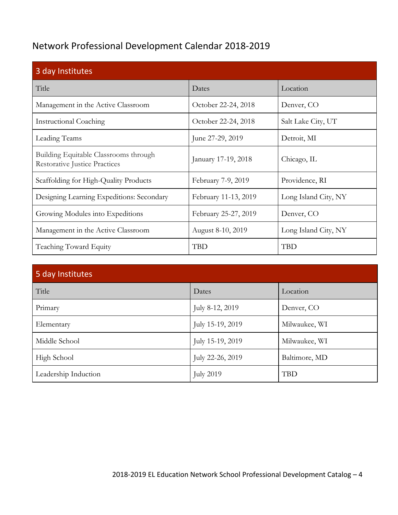# Network Professional Development Calendar 2018-2019

| 3 day Institutes                                                              |                      |                      |
|-------------------------------------------------------------------------------|----------------------|----------------------|
| Title                                                                         | Dates                | Location             |
| Management in the Active Classroom                                            | October 22-24, 2018  | Denver, CO           |
| Instructional Coaching                                                        | October 22-24, 2018  | Salt Lake City, UT   |
| Leading Teams                                                                 | June 27-29, 2019     | Detroit, MI          |
| Building Equitable Classrooms through<br><b>Restorative Justice Practices</b> | January 17-19, 2018  | Chicago, IL          |
| Scaffolding for High-Quality Products                                         | February 7-9, 2019   | Providence, RI       |
| Designing Learning Expeditions: Secondary                                     | February 11-13, 2019 | Long Island City, NY |
| Growing Modules into Expeditions                                              | February 25-27, 2019 | Denver, CO           |
| Management in the Active Classroom                                            | August 8-10, 2019    | Long Island City, NY |
| Teaching Toward Equity                                                        | <b>TBD</b>           | <b>TBD</b>           |

| 5 day Institutes     |                  |               |
|----------------------|------------------|---------------|
| Title                | Dates            | Location      |
| Primary              | July 8-12, 2019  | Denver, CO    |
| Elementary           | July 15-19, 2019 | Milwaukee, WI |
| Middle School        | July 15-19, 2019 | Milwaukee, WI |
| High School          | July 22-26, 2019 | Baltimore, MD |
| Leadership Induction | <b>July 2019</b> | <b>TBD</b>    |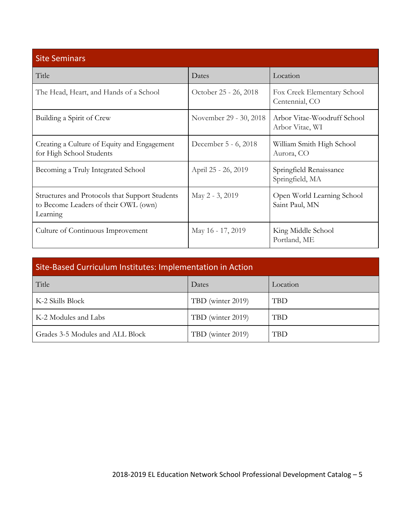| <b>Site Seminars</b>                                                                               |                        |                                                |
|----------------------------------------------------------------------------------------------------|------------------------|------------------------------------------------|
| Title                                                                                              | Dates                  | Location                                       |
| The Head, Heart, and Hands of a School                                                             | October 25 - 26, 2018  | Fox Creek Elementary School<br>Centennial, CO  |
| Building a Spirit of Crew                                                                          | November 29 - 30, 2018 | Arbor Vitae-Woodruff School<br>Arbor Vitae, WI |
| Creating a Culture of Equity and Engagement<br>for High School Students                            | December 5 - 6, 2018   | William Smith High School<br>Aurora, CO        |
| Becoming a Truly Integrated School                                                                 | April 25 - 26, 2019    | Springfield Renaissance<br>Springfield, MA     |
| Structures and Protocols that Support Students<br>to Become Leaders of their OWL (own)<br>Learning | May 2 - 3, 2019        | Open World Learning School<br>Saint Paul, MN   |
| Culture of Continuous Improvement                                                                  | May 16 - 17, 2019      | King Middle School<br>Portland, ME             |

| Site-Based Curriculum Institutes: Implementation in Action |                   |            |
|------------------------------------------------------------|-------------------|------------|
| Title                                                      | Dates             | Location   |
| K-2 Skills Block                                           | TBD (winter 2019) | TBD        |
| K-2 Modules and Labs                                       | TBD (winter 2019) | <b>TBD</b> |
| Grades 3-5 Modules and ALL Block                           | TBD (winter 2019) | TBD        |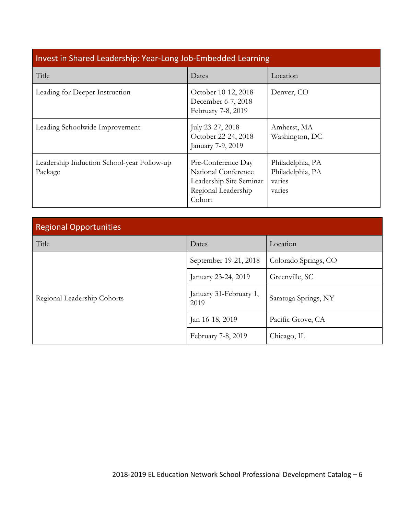# Invest in Shared Leadership: Year-Long Job-Embedded Learning

| Title                                                 | Dates                                                                                                 | Location                                                 |
|-------------------------------------------------------|-------------------------------------------------------------------------------------------------------|----------------------------------------------------------|
| Leading for Deeper Instruction                        | October 10-12, 2018<br>December 6-7, 2018<br>February 7-8, 2019                                       | Denver, CO                                               |
| Leading Schoolwide Improvement                        | July 23-27, 2018<br>October 22-24, 2018<br>January 7-9, 2019                                          | Amherst, MA<br>Washington, DC                            |
| Leadership Induction School-year Follow-up<br>Package | Pre-Conference Day<br>National Conference<br>Leadership Site Seminar<br>Regional Leadership<br>Cohort | Philadelphia, PA<br>Philadelphia, PA<br>varies<br>varies |

| <b>Regional Opportunities</b> |                                |                      |
|-------------------------------|--------------------------------|----------------------|
| Title                         | Dates                          | Location             |
| Regional Leadership Cohorts   | September 19-21, 2018          | Colorado Springs, CO |
|                               | January 23-24, 2019            | Greenville, SC       |
|                               | January 31-February 1,<br>2019 | Saratoga Springs, NY |
|                               | Jan 16-18, 2019                | Pacific Grove, CA    |
|                               | February 7-8, 2019             | Chicago, IL          |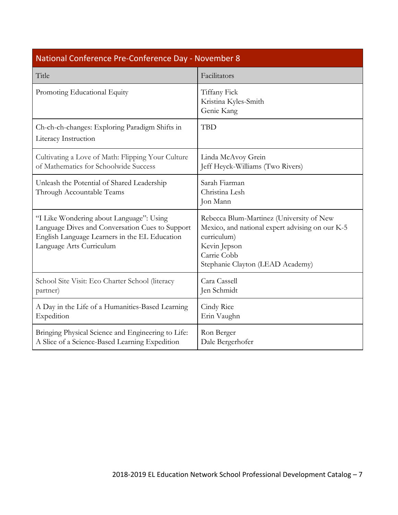| National Conference Pre-Conference Day - November 8                                                                                                                      |                                                                                                                                                                               |  |
|--------------------------------------------------------------------------------------------------------------------------------------------------------------------------|-------------------------------------------------------------------------------------------------------------------------------------------------------------------------------|--|
| Title                                                                                                                                                                    | Facilitators                                                                                                                                                                  |  |
| Promoting Educational Equity                                                                                                                                             | Tiffany Fick<br>Kristina Kyles-Smith<br>Genie Kang                                                                                                                            |  |
| Ch-ch-ch-changes: Exploring Paradigm Shifts in<br>Literacy Instruction                                                                                                   | <b>TBD</b>                                                                                                                                                                    |  |
| Cultivating a Love of Math: Flipping Your Culture<br>of Mathematics for Schoolwide Success                                                                               | Linda McAvoy Grein<br>Jeff Heyck-Williams (Two Rivers)                                                                                                                        |  |
| Unleash the Potential of Shared Leadership<br>Through Accountable Teams                                                                                                  | Sarah Fiarman<br>Christina Lesh<br>Jon Mann                                                                                                                                   |  |
| "I Like Wondering about Language": Using<br>Language Dives and Conversation Cues to Support<br>English Language Learners in the EL Education<br>Language Arts Curriculum | Rebecca Blum-Martinez (University of New<br>Mexico, and national expert advising on our K-5<br>curriculum)<br>Kevin Jepson<br>Carrie Cobb<br>Stephanie Clayton (LEAD Academy) |  |
| School Site Visit: Eco Charter School (literacy<br>partner)                                                                                                              | Cara Cassell<br>Jen Schmidt                                                                                                                                                   |  |
| A Day in the Life of a Humanities-Based Learning<br>Expedition                                                                                                           | Cindy Rice<br>Erin Vaughn                                                                                                                                                     |  |
| Bringing Physical Science and Engineering to Life:<br>A Slice of a Science-Based Learning Expedition                                                                     | Ron Berger<br>Dale Bergerhofer                                                                                                                                                |  |

# 2018-2019 EL Education Network School Professional Development Catalog – 7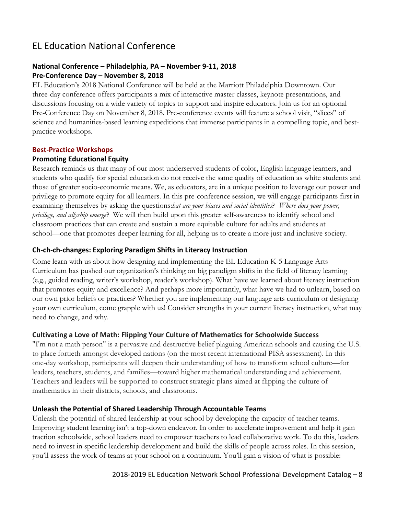# EL Education National Conference

#### **National Conference – Philadelphia, PA – November 9-11, 2018 Pre-Conference Day – November 8, 2018**

EL Education's 2018 National Conference will be held at the Marriott Philadelphia Downtown. Our three-day conference offers participants a mix of interactive master classes, keynote presentations, and discussions focusing on a wide variety of topics to support and inspire educators. Join us for an optional Pre-Conference Day on November 8, 2018. Pre-conference events will feature a school visit, "slices" of science and humanities-based learning expeditions that immerse participants in a compelling topic, and bestpractice workshops.

#### **Best-Practice Workshops**

#### **Promoting Educational Equity**

Research reminds us that many of our most underserved students of color, English language learners, and students who qualify for special education do not receive the same quality of education as white students and those of greater socio-economic means. We, as educators, are in a unique position to leverage our power and privilege to promote equity for all learners. In this pre-conference session, we will engage participants first in examining themselves by asking the questions:*hat are your biases and social identities*? *Where does your power, privilege, and allyship emerge*? We will then build upon this greater self-awareness to identify school and classroom practices that can create and sustain a more equitable culture for adults and students at school—one that promotes deeper learning for all, helping us to create a more just and inclusive society.

#### **Ch-ch-ch-changes: Exploring Paradigm Shifts in Literacy Instruction**

Come learn with us about how designing and implementing the EL Education K-5 Language Arts Curriculum has pushed our organization's thinking on big paradigm shifts in the field of literacy learning (e.g., guided reading, writer's workshop, reader's workshop). What have we learned about literacy instruction that promotes equity and excellence? And perhaps more importantly, what have we had to unlearn, based on our own prior beliefs or practices? Whether you are implementing our language arts curriculum or designing your own curriculum, come grapple with us! Consider strengths in your current literacy instruction, what may need to change, and why.

#### **Cultivating a Love of Math: Flipping Your Culture of Mathematics for Schoolwide Success**

"I'm not a math person" is a pervasive and destructive belief plaguing American schools and causing the U.S. to place fortieth amongst developed nations (on the most recent international PISA assessment). In this one-day workshop, participants will deepen their understanding of how to transform school culture—for leaders, teachers, students, and families—toward higher mathematical understanding and achievement. Teachers and leaders will be supported to construct strategic plans aimed at flipping the culture of mathematics in their districts, schools, and classrooms.

#### **Unleash the Potential of Shared Leadership Through Accountable Teams**

Unleash the potential of shared leadership at your school by developing the capacity of teacher teams. Improving student learning isn't a top-down endeavor. In order to accelerate improvement and help it gain traction schoolwide, school leaders need to empower teachers to lead collaborative work. To do this, leaders need to invest in specific leadership development and build the skills of people across roles. In this session, you'll assess the work of teams at your school on a continuum. You'll gain a vision of what is possible: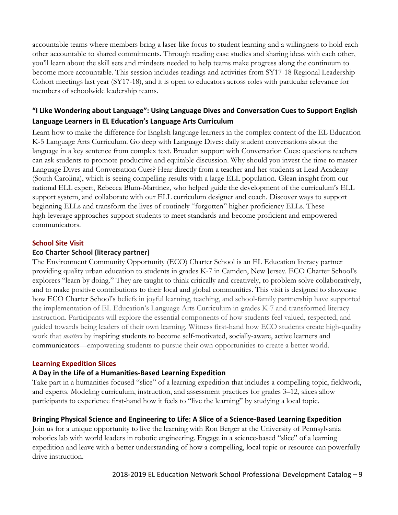accountable teams where members bring a laser-like focus to student learning and a willingness to hold each other accountable to shared commitments. Through reading case studies and sharing ideas with each other, you'll learn about the skill sets and mindsets needed to help teams make progress along the continuum to become more accountable. This session includes readings and activities from SY17-18 Regional Leadership Cohort meetings last year (SY17-18), and it is open to educators across roles with particular relevance for members of schoolwide leadership teams.

## **"I Like Wondering about Language": Using Language Dives and Conversation Cues to Support English Language Learners in EL Education's Language Arts Curriculum**

Learn how to make the difference for English language learners in the complex content of the EL Education K-5 Language Arts Curriculum. Go deep with Language Dives: daily student conversations about the language in a key sentence from complex text. Broaden support with Conversation Cues: questions teachers can ask students to promote productive and equitable discussion. Why should you invest the time to master Language Dives and Conversation Cues? Hear directly from a teacher and her students at Lead Academy (South Carolina), which is seeing compelling results with a large ELL population. Glean insight from our national ELL expert, Rebecca Blum-Martinez, who helped guide the development of the curriculum's ELL support system, and collaborate with our ELL curriculum designer and coach. Discover ways to support beginning ELLs and transform the lives of routinely "forgotten" higher-proficiency ELLs. These high-leverage approaches support students to meet standards and become proficient and empowered communicators.

#### **School Site Visit**

#### **Eco Charter School (literacy partner)**

The Environment Community Opportunity (ECO) Charter School is an EL Education literacy partner providing quality urban education to students in grades K-7 in Camden, New Jersey. ECO Charter School's explorers "learn by doing." They are taught to think critically and creatively, to problem solve collaboratively, and to make positive contributions to their local and global communities. This visit is designed to showcase how ECO Charter School's beliefs in joyful learning, teaching, and school-family partnership have supported the implementation of EL Education's Language Arts Curriculum in grades K-7 and transformed literacy instruction. Participants will explore the essential components of how students feel valued, respected, and guided towards being leaders of their own learning. Witness first-hand how ECO students create high-quality work that *matters* by inspiring students to become self-motivated, socially-aware, active learners and communicators—empowering students to pursue their own opportunities to create a better world.

#### **Learning Expedition Slices**

#### **A Day in the Life of a Humanities-Based Learning Expedition**

Take part in a humanities focused "slice" of a learning expedition that includes a compelling topic, fieldwork, and experts. Modeling curriculum, instruction, and assessment practices for grades 3–12, slices allow participants to experience first-hand how it feels to "live the learning" by studying a local topic.

#### **Bringing Physical Science and Engineering to Life: A Slice of a Science-Based Learning Expedition**

Join us for a unique opportunity to live the learning with Ron Berger at the University of Pennsylvania robotics lab with world leaders in robotic engineering. Engage in a science-based "slice" of a learning expedition and leave with a better understanding of how a compelling, local topic or resource can powerfully drive instruction.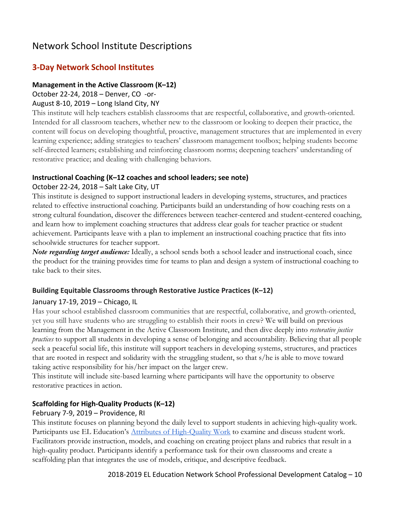# Network School Institute Descriptions

## **3-Day Network School Institutes**

#### **Management in the Active Classroom (K–12)**

October 22-24, 2018 – Denver, CO -or-

#### August 8-10, 2019 – Long Island City, NY

This institute will help teachers establish classrooms that are respectful, collaborative, and growth-oriented. Intended for all classroom teachers, whether new to the classroom or looking to deepen their practice, the content will focus on developing thoughtful, proactive, management structures that are implemented in every learning experience; adding strategies to teachers' classroom management toolbox; helping students become self-directed learners; establishing and reinforcing classroom norms; deepening teachers' understanding of restorative practice; and dealing with challenging behaviors.

#### **Instructional Coaching (K–12 coaches and school leaders; see note)**

#### October 22-24, 2018 – Salt Lake City, UT

This institute is designed to support instructional leaders in developing systems, structures, and practices related to effective instructional coaching. Participants build an understanding of how coaching rests on a strong cultural foundation, discover the differences between teacher-centered and student-centered coaching, and learn how to implement coaching structures that address clear goals for teacher practice or student achievement. Participants leave with a plan to implement an instructional coaching practice that fits into schoolwide structures for teacher support.

*Note regarding target audience:* Ideally, a school sends both a school leader and instructional coach, since the product for the training provides time for teams to plan and design a system of instructional coaching to take back to their sites.

#### **Building Equitable Classrooms through Restorative Justice Practices (K–12)**

## January 17-19, 2019 – Chicago, IL

Has your school established classroom communities that are respectful, collaborative, and growth-oriented, yet you still have students who are struggling to establish their roots in crew? We will build on previous learning from the Management in the Active Classroom Institute, and then dive deeply into *restorative justice practices* to support all students in developing a sense of belonging and accountability. Believing that all people seek a peaceful social life, this institute will support teachers in developing systems, structures, and practices that are rooted in respect and solidarity with the struggling student, so that s/he is able to move toward taking active responsibility for his/her impact on the larger crew.

This institute will include site-based learning where participants will have the opportunity to observe restorative practices in action.

## **Scaffolding for High-Quality Products (K–12)**

#### February 7-9, 2019 – Providence, RI

This institute focuses on planning beyond the daily level to support students in achieving high-quality work. Participants use EL Education's [Attributes of High-Quality Work](http://modelsofexcellence.eleducation.org/attributes-high-quality-work) to examine and discuss student work. Facilitators provide instruction, models, and coaching on creating project plans and rubrics that result in a high-quality product. Participants identify a performance task for their own classrooms and create a scaffolding plan that integrates the use of models, critique, and descriptive feedback.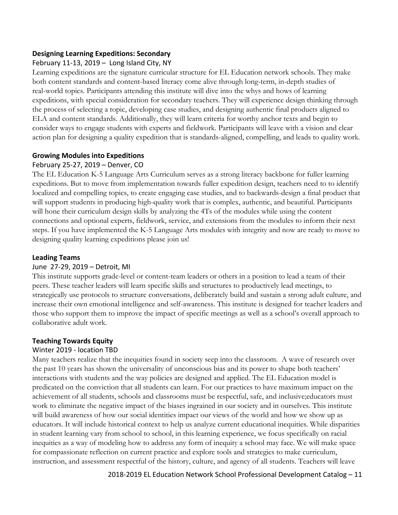#### **Designing Learning Expeditions: Secondary**

#### February 11-13, 2019 – Long Island City, NY

Learning expeditions are the signature curricular structure for EL Education network schools. They make both content standards and content-based literacy come alive through long-term, in-depth studies of real-world topics. Participants attending this institute will dive into the whys and hows of learning expeditions, with special consideration for secondary teachers. They will experience design thinking through the process of selecting a topic, developing case studies, and designing authentic final products aligned to ELA and content standards. Additionally, they will learn criteria for worthy anchor texts and begin to consider ways to engage students with experts and fieldwork. Participants will leave with a vision and clear action plan for designing a quality expedition that is standards-aligned, compelling, and leads to quality work.

#### **Growing Modules into Expeditions**

#### February 25-27, 2019 – Denver, CO

The EL Education K-5 Language Arts Curriculum serves as a strong literacy backbone for fuller learning expeditions. But to move from implementation towards fuller expedition design, teachers need to to identify localized and compelling topics, to create engaging case studies, and to backwards-design a final product that will support students in producing high-quality work that is complex, authentic, and beautiful. Participants will hone their curriculum design skills by analyzing the 4Ts of the modules while using the content connections and optional experts, fieldwork, service, and extensions from the modules to inform their next steps. If you have implemented the K-5 Language Arts modules with integrity and now are ready to move to designing quality learning expeditions please join us!

#### **Leading Teams**

#### June 27-29, 2019 – Detroit, MI

This institute supports grade-level or content-team leaders or others in a position to lead a team of their peers. These teacher leaders will learn specific skills and structures to productively lead meetings, to strategically use protocols to structure conversations, deliberately build and sustain a strong adult culture, and increase their own emotional intelligence and self-awareness. This institute is designed for teacher leaders and those who support them to improve the impact of specific meetings as well as a school's overall approach to collaborative adult work.

#### **Teaching Towards Equity**

#### Winter 2019 - location TBD

Many teachers realize that the inequities found in society seep into the classroom. A wave of research over the past 10 years has shown the universality of unconscious bias and its power to shape both teachers' interactions with students and the way policies are designed and applied. The EL Education model is predicated on the conviction that all students can learn. For our practices to have maximum impact on the achievement of all students, schools and classrooms must be respectful, safe, and inclusive;educators must work to eliminate the negative impact of the biases ingrained in our society and in ourselves. This institute will build awareness of how our social identities impact our views of the world and how we show up as educators. It will include historical context to help us analyze current educational inequities. While disparities in student learning vary from school to school, in this learning experience, we focus specifically on racial inequities as a way of modeling how to address any form of inequity a school may face. We will make space for compassionate reflection on current practice and explore tools and strategies to make curriculum, instruction, and assessment respectful of the history, culture, and agency of all students. Teachers will leave

2018-2019 EL Education Network School Professional Development Catalog – 11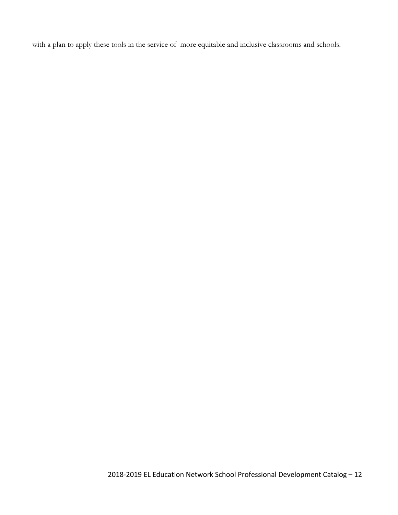with a plan to apply these tools in the service of more equitable and inclusive classrooms and schools.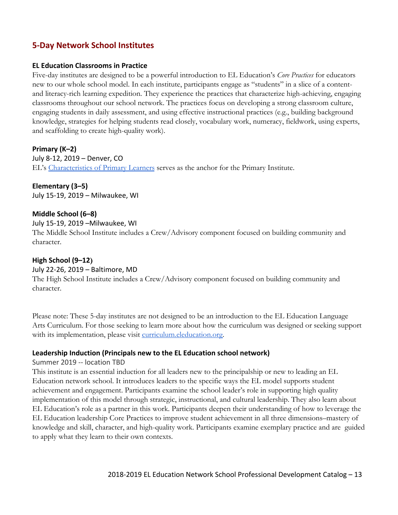# **5-Day Network School Institutes**

#### **EL Education Classrooms in Practice**

Five-day institutes are designed to be a powerful introduction to EL Education's *Core Practices* for educators new to our whole school model. In each institute, participants engage as "students" in a slice of a contentand literacy-rich learning expedition. They experience the practices that characterize high-achieving, engaging classrooms throughout our school network. The practices focus on developing a strong classroom culture, engaging students in daily assessment, and using effective instructional practices (e.g., building background knowledge, strategies for helping students read closely, vocabulary work, numeracy, fieldwork, using experts, and scaffolding to create high-quality work).

**Primary (K–2)** 

July 8-12, 2019 – Denver, CO

EL's [Characteristics of Primary Learners](https://eleducation.org/resources/characteristics-of-primary-learners) serves as the anchor for the Primary Institute.

**Elementary (3–5)**  July 15-19, 2019 – Milwaukee, WI

#### **Middle School (6–8)**

July 15-19, 2019 –Milwaukee, WI

The Middle School Institute includes a Crew/Advisory component focused on building community and character.

#### **High School (9–12)**

#### July 22-26, 2019 – Baltimore, MD

The High School Institute includes a Crew/Advisory component focused on building community and character.

Please note: These 5-day institutes are not designed to be an introduction to the EL Education Language Arts Curriculum. For those seeking to learn more about how the curriculum was designed or seeking support with its implementation, please visit [curriculum.eleducation.org.](http://curriculum.eleducation.org/)

#### **Leadership Induction (Principals new to the EL Education school network)**

Summer 2019 -- location TBD

This institute is an essential induction for all leaders new to the principalship or new to leading an EL Education network school. It introduces leaders to the specific ways the EL model supports student achievement and engagement. Participants examine the school leader's role in supporting high quality implementation of this model through strategic, instructional, and cultural leadership. They also learn about EL Education's role as a partner in this work. Participants deepen their understanding of how to leverage the EL Education leadership Core Practices to improve student achievement in all three dimensions–mastery of knowledge and skill, character, and high-quality work. Participants examine exemplary practice and are guided to apply what they learn to their own contexts.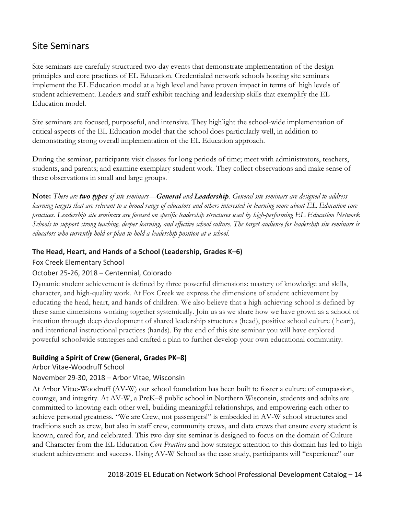# Site Seminars

Site seminars are carefully structured two-day events that demonstrate implementation of the design principles and core practices of EL Education. Credentialed network schools hosting site seminars implement the EL Education model at a high level and have proven impact in terms of high levels of student achievement. Leaders and staff exhibit teaching and leadership skills that exemplify the EL Education model.

Site seminars are focused, purposeful, and intensive. They highlight the school-wide implementation of critical aspects of the EL Education model that the school does particularly well, in addition to demonstrating strong overall implementation of the EL Education approach.

During the seminar, participants visit classes for long periods of time; meet with administrators, teachers, students, and parents; and examine exemplary student work. They collect observations and make sense of these observations in small and large groups.

**Note:** *There are two types of site seminars—General and Leadership. General site seminars are designed to address learning targets that are relevant to a broad range of educators and others interested in learning more about EL Education core practices. Leadership site seminars are focused on specific leadership structures used by high-performing EL Education Network Schools to support strong teaching, deeper learning, and effective school culture. The target audience for leadership site seminars is educators who currently hold or plan to hold a leadership position at a school.*

## **The Head, Heart, and Hands of a School (Leadership, Grades K–6)**

Fox Creek Elementary School

## October 25-26, 2018 – Centennial, Colorado

Dynamic student achievement is defined by three powerful dimensions: mastery of knowledge and skills, character, and high-quality work. At Fox Creek we express the dimensions of student achievement by educating the head, heart, and hands of children. We also believe that a high-achieving school is defined by these same dimensions working together systemically. Join us as we share how we have grown as a school of intention through deep development of shared leadership structures (head), positive school culture ( heart), and intentional instructional practices (hands). By the end of this site seminar you will have explored powerful schoolwide strategies and crafted a plan to further develop your own educational community.

## **Building a Spirit of Crew (General, Grades PK–8)**

Arbor Vitae-Woodruff School

## November 29-30, 2018 – Arbor Vitae, Wisconsin

At Arbor Vitae-Woodruff (AV-W) our school foundation has been built to foster a culture of compassion, courage, and integrity. At AV-W, a PreK–8 public school in Northern Wisconsin, students and adults are committed to knowing each other well, building meaningful relationships, and empowering each other to achieve personal greatness. "We are Crew, not passengers!" is embedded in AV-W school structures and traditions such as crew, but also in staff crew, community crews, and data crews that ensure every student is known, cared for, and celebrated. This two-day site seminar is designed to focus on the domain of Culture and Character from the EL Education *Core Practices* and how strategic attention to this domain has led to high student achievement and success. Using AV-W School as the case study, participants will "experience" our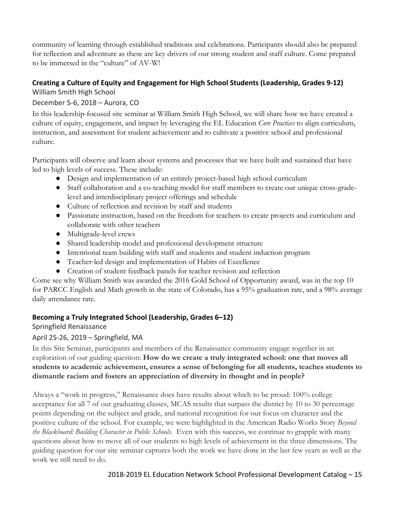community of learning through established traditions and celebrations. Participants should also be prepared for reflection and adventure as these are key drivers of our strong student and staff culture. Come prepared to be immersed in the "culture" of AV-W!

# **Creating a Culture of Equity and Engagement for High School Students (Leadership, Grades 9-12)**

William Smith High School

## December 5-6, 2018 – Aurora, CO

In this leadership-focused site seminar at William Smith High School, we will share how we have created a culture of equity, engagement, and impact by leveraging the EL Education *Core Practices* to align curriculum, instruction, and assessment for student achievement and to cultivate a positive school and professional culture.

Participants will observe and learn about systems and processes that we have built and sustained that have led to high levels of success. These include:

- Design and implementation of an entirely project-based high school curriculum
- Staff collaboration and a co-teaching model for staff members to create our unique cross-gradelevel and interdisciplinary project offerings and schedule
- Culture of reflection and revision by staff and students
- Passionate instruction, based on the freedom for teachers to create projects and curriculum and collaborate with other teachers
- Multigrade-level crews
- Shared leadership model and professional development structure
- Intentional team building with staff and students and student induction program
- Teacher-led design and implementation of Habits of Excellence
- Creation of student feedback panels for teacher revision and reflection

Come see why William Smith was awarded the 2016 Gold School of Opportunity award, was in the top 10 for PARCC English and Math growth in the state of Colorado, has a 95% graduation rate, and a 98% average daily attendance rate.

## **Becoming a Truly Integrated School (Leadership, Grades 6–12)**

Springfield Renaissance

April 25-26, 2019 – Springfield, MA

In this Site Seminar, participants and members of the Renaissance community engage together in an exploration of our guiding question: **How do we create a truly integrated school: one that moves all students to academic achievement, ensures a sense of belonging for all students, teaches students to dismantle racism and fosters an appreciation of diversity in thought and in people?**

Always a "work in progress," Renaissance does have results about which to be proud: 100% college acceptance for all 7 of our graduating classes, MCAS results that surpass the district by 10 to 30 percentage points depending on the subject and grade, and national recognition for our focus on character and the positive culture of the school. For example, we were highlighted in the American Radio Works Story *Beyond the Blackboard: Building Character in Public Schools*. Even with this success, we continue to grapple with many questions about how to move all of our students to high levels of achievement in the three dimensions. The guiding question for our site seminar captures both the work we have done in the last few years as well as the work we still need to do.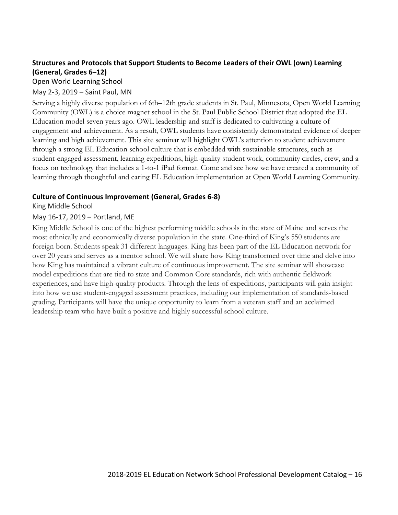## **Structures and Protocols that Support Students to Become Leaders of their OWL (own) Learning (General, Grades 6–12)**

Open World Learning School

#### May 2-3, 2019 – Saint Paul, MN

Serving a highly diverse population of 6th–12th grade students in St. Paul, Minnesota, Open World Learning Community (OWL) is a choice magnet school in the St. Paul Public School District that adopted the EL Education model seven years ago. OWL leadership and staff is dedicated to cultivating a culture of engagement and achievement. As a result, OWL students have consistently demonstrated evidence of deeper learning and high achievement. This site seminar will highlight OWL's attention to student achievement through a strong EL Education school culture that is embedded with sustainable structures, such as student-engaged assessment, learning expeditions, high-quality student work, community circles, crew, and a focus on technology that includes a 1-to-1 iPad format. Come and see how we have created a community of learning through thoughtful and caring EL Education implementation at Open World Learning Community.

#### **Culture of Continuous Improvement (General, Grades 6-8)**

#### King Middle School

#### May 16-17, 2019 – Portland, ME

King Middle School is one of the highest performing middle schools in the state of Maine and serves the most ethnically and economically diverse population in the state. One-third of King's 550 students are foreign born. Students speak 31 different languages. King has been part of the EL Education network for over 20 years and serves as a mentor school. We will share how King transformed over time and delve into how King has maintained a vibrant culture of continuous improvement. The site seminar will showcase model expeditions that are tied to state and Common Core standards, rich with authentic fieldwork experiences, and have high-quality products. Through the lens of expeditions, participants will gain insight into how we use student-engaged assessment practices, including our implementation of standards-based grading. Participants will have the unique opportunity to learn from a veteran staff and an acclaimed leadership team who have built a positive and highly successful school culture.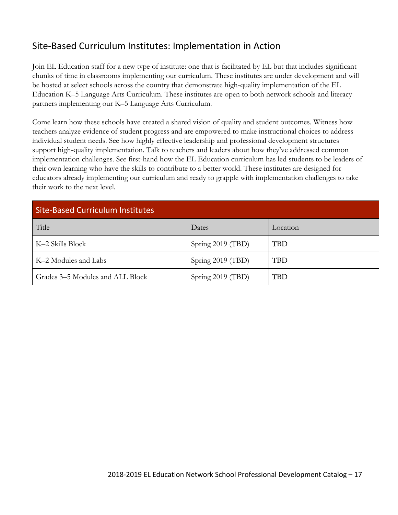# Site-Based Curriculum Institutes: Implementation in Action

Join EL Education staff for a new type of institute: one that is facilitated by EL but that includes significant chunks of time in classrooms implementing our curriculum. These institutes are under development and will be hosted at select schools across the country that demonstrate high-quality implementation of the EL Education K–5 Language Arts Curriculum. These institutes are open to both network schools and literacy partners implementing our K–5 Language Arts Curriculum.

Come learn how these schools have created a shared vision of quality and student outcomes. Witness how teachers analyze evidence of student progress and are empowered to make instructional choices to address individual student needs. See how highly effective leadership and professional development structures support high-quality implementation. Talk to teachers and leaders about how they've addressed common implementation challenges. See first-hand how the EL Education curriculum has led students to be leaders of their own learning who have the skills to contribute to a better world. These institutes are designed for educators already implementing our curriculum and ready to grapple with implementation challenges to take their work to the next level.

| <b>Site-Based Curriculum Institutes</b> |                   |          |
|-----------------------------------------|-------------------|----------|
| Title                                   | Dates             | Location |
| K-2 Skills Block                        | Spring 2019 (TBD) | TBD      |
| K-2 Modules and Labs                    | Spring 2019 (TBD) | TBD      |
| Grades 3–5 Modules and ALL Block        | Spring 2019 (TBD) | TBD      |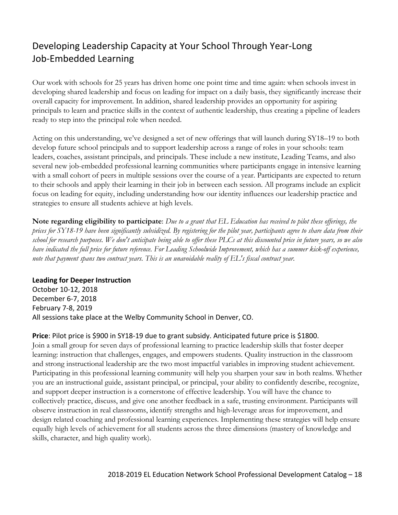# Developing Leadership Capacity at Your School Through Year-Long Job-Embedded Learning

Our work with schools for 25 years has driven home one point time and time again: when schools invest in developing shared leadership and focus on leading for impact on a daily basis, they significantly increase their overall capacity for improvement. In addition, shared leadership provides an opportunity for aspiring principals to learn and practice skills in the context of authentic leadership, thus creating a pipeline of leaders ready to step into the principal role when needed.

Acting on this understanding, we've designed a set of new offerings that will launch during SY18–19 to both develop future school principals and to support leadership across a range of roles in your schools: team leaders, coaches, assistant principals, and principals. These include a new institute, Leading Teams, and also several new job-embedded professional learning communities where participants engage in intensive learning with a small cohort of peers in multiple sessions over the course of a year. Participants are expected to return to their schools and apply their learning in their job in between each session. All programs include an explicit focus on leading for equity, including understanding how our identity influences our leadership practice and strategies to ensure all students achieve at high levels.

**Note regarding eligibility to participate**: *Due to a grant that EL Education has received to pilot these offerings, the prices for SY18-19 have been significantly subsidized. By registering for the pilot year, participants agree to share data from their school for research purposes. We don't anticipate being able to offer these PLCs at this discounted price in future years, so we also have indicated the full price for future reference. For Leading Schoolwide Improvement, which has a summer kick-off experience, note that payment spans two contract years. This is an unavoidable reality of EL's fiscal contract year.*

#### **Leading for Deeper Instruction**

October 10-12, 2018 December 6-7, 2018 February 7-8, 2019 All sessions take place at the Welby Community School in Denver, CO.

#### **Price**: Pilot price is \$900 in SY18-19 due to grant subsidy. Anticipated future price is \$1800.

Join a small group for seven days of professional learning to practice leadership skills that foster deeper learning: instruction that challenges, engages, and empowers students. Quality instruction in the classroom and strong instructional leadership are the two most impactful variables in improving student achievement. Participating in this professional learning community will help you sharpen your saw in both realms. Whether you are an instructional guide, assistant principal, or principal, your ability to confidently describe, recognize, and support deeper instruction is a cornerstone of effective leadership. You will have the chance to collectively practice, discuss, and give one another feedback in a safe, trusting environment. Participants will observe instruction in real classrooms, identify strengths and high-leverage areas for improvement, and design related coaching and professional learning experiences. Implementing these strategies will help ensure equally high levels of achievement for all students across the three dimensions (mastery of knowledge and skills, character, and high quality work).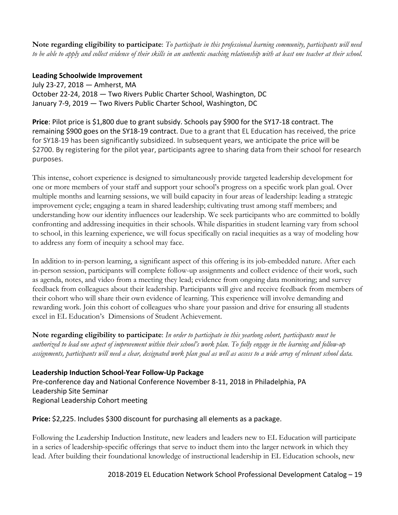**Note regarding eligibility to participate**: *To participate in this professional learning community, participants will need to be able to apply and collect evidence of their skills in an authentic coaching relationship with at least one teacher at their school.*

#### **Leading Schoolwide Improvement**

July 23-27, 2018 — Amherst, MA October 22-24, 2018 — Two Rivers Public Charter School, Washington, DC January 7-9, 2019 — Two Rivers Public Charter School, Washington, DC

**Price**: Pilot price is \$1,800 due to grant subsidy. Schools pay \$900 for the SY17-18 contract. The remaining \$900 goes on the SY18-19 contract. Due to a grant that EL Education has received, the price for SY18-19 has been significantly subsidized. In subsequent years, we anticipate the price will be \$2700. By registering for the pilot year, participants agree to sharing data from their school for research purposes.

This intense, cohort experience is designed to simultaneously provide targeted leadership development for one or more members of your staff and support your school's progress on a specific work plan goal. Over multiple months and learning sessions, we will build capacity in four areas of leadership: leading a strategic improvement cycle; engaging a team in shared leadership; cultivating trust among staff members; and understanding how our identity influences our leadership. We seek participants who are committed to boldly confronting and addressing inequities in their schools. While disparities in student learning vary from school to school, in this learning experience, we will focus specifically on racial inequities as a way of modeling how to address any form of inequity a school may face.

In addition to in-person learning, a significant aspect of this offering is its job-embedded nature. After each in-person session, participants will complete follow-up assignments and collect evidence of their work, such as agenda, notes, and video from a meeting they lead; evidence from ongoing data monitoring; and survey feedback from colleagues about their leadership. Participants will give and receive feedback from members of their cohort who will share their own evidence of learning. This experience will involve demanding and rewarding work. Join this cohort of colleagues who share your passion and drive for ensuring all students excel in EL Education's Dimensions of Student Achievement.

**Note regarding eligibility to participate**: *In order to participate in this yearlong cohort, participants must be authorized to lead one aspect of improvement within their school's work plan. To fully engage in the learning and follow-up assignments, participants will need a clear, designated work plan goal as well as access to a wide array of relevant school data.*

**Leadership Induction School-Year Follow-Up Package** Pre-conference day and National Conference November 8-11, 2018 in Philadelphia, PA Leadership Site Seminar Regional Leadership Cohort meeting

Price: \$2,225. Includes \$300 discount for purchasing all elements as a package.

Following the Leadership Induction Institute, new leaders and leaders new to EL Education will participate in a series of leadership-specific offerings that serve to induct them into the larger network in which they lead. After building their foundational knowledge of instructional leadership in EL Education schools, new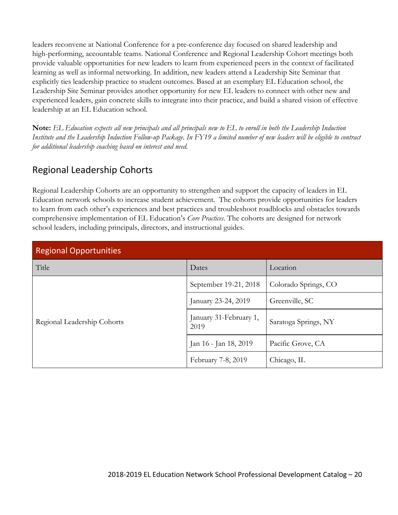leaders reconvene at National Conference for a pre-conference day focused on shared leadership and high-performing, accountable teams. National Conference and Regional Leadership Cohort meetings both provide valuable opportunities for new leaders to learn from experienced peers in the context of facilitated learning as well as informal networking. In addition, new leaders attend a Leadership Site Seminar that explicitly ties leadership practice to student outcomes. Based at an exemplary EL Education school, the Leadership Site Seminar provides another opportunity for new EL leaders to connect with other new and experienced leaders, gain concrete skills to integrate into their practice, and build a shared vision of effective leadership at an EL Education school.

**Note:** *EL Education expects all new principals and all principals new to EL to enroll in both the Leadership Induction Institute and the Leadership Induction Follow-up Package. In FY19 a limited number of new leaders will be eligible to contract for additional leadership coaching based on interest and need.*

# Regional Leadership Cohorts

Regional Leadership Cohorts are an opportunity to strengthen and support the capacity of leaders in EL Education network schools to increase student achievement. The cohorts provide opportunities for leaders to learn from each other's experiences and best practices and troubleshoot roadblocks and obstacles towards comprehensive implementation of EL Education's *Core Practices*. The cohorts are designed for network school leaders, including principals, directors, and instructional guides.

| <b>Regional Opportunities</b> |                                |                      |
|-------------------------------|--------------------------------|----------------------|
| Title                         | Dates                          | Location             |
| Regional Leadership Cohorts   | September 19-21, 2018          | Colorado Springs, CO |
|                               | January 23-24, 2019            | Greenville, SC       |
|                               | January 31-February 1,<br>2019 | Saratoga Springs, NY |
|                               | Jan 16 - Jan 18, 2019          | Pacific Grove, CA    |
|                               | February 7-8, 2019             | Chicago, IL          |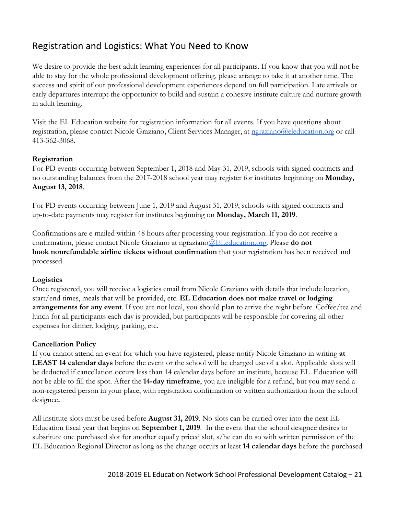# Registration and Logistics: What You Need to Know

We desire to provide the best adult learning experiences for all participants. If you know that you will not be able to stay for the whole professional development offering, please arrange to take it at another time. The success and spirit of our professional development experiences depend on full participation. Late arrivals or early departures interrupt the opportunity to build and sustain a cohesive institute culture and nurture growth in adult learning.

Visit the EL Education website for registration information for all events. If you have questions about registration, please contact Nicole Graziano, Client Services Manager, at [ngraziano@eleducation.org](mailto:ngraziano@eleducation.org) or call 413-362-3068.

#### **Registration**

For PD events occurring between September 1, 2018 and May 31, 2019, schools with signed contracts and no outstanding balances from the 2017-2018 school year may register for institutes beginning on **Monday, August 13, 2018**.

For PD events occurring between June 1, 2019 and August 31, 2019, schools with signed contracts and up-to-date payments may register for institutes beginning on **Monday, March 11, 2019**.

Confirmations are e-mailed within 48 hours after processing your registration. If you do not receive a confirmation, please contact Nicole Graziano at ngraziano[@ELeducation.org.](mailto:lmaruca@elschools.org) Please **do not book nonrefundable airline tickets without confirmation** that your registration has been received and processed.

#### **Logistics**

Once registered, you will receive a logistics email from Nicole Graziano with details that include location, start/end times, meals that will be provided, etc. **EL Education does not make travel or lodging arrangements for any event**. If you are not local, you should plan to arrive the night before. Coffee/tea and lunch for all participants each day is provided, but participants will be responsible for covering all other expenses for dinner, lodging, parking, etc.

#### **Cancellation Policy**

If you cannot attend an event for which you have registered, please notify Nicole Graziano in writing **at LEAST 14 calendar days** before the event or the school will be charged use of a slot. Applicable slots will be deducted if cancellation occurs less than 14 calendar days before an institute, because EL Education will not be able to fill the spot. After the **14-day timeframe**, you are ineligible for a refund, but you may send a non-registered person in your place, with registration confirmation or written authorization from the school designee**.**

All institute slots must be used before **August 31, 2019**. No slots can be carried over into the next EL Education fiscal year that begins on **September 1, 2019**. In the event that the school designee desires to substitute one purchased slot for another equally priced slot, s/he can do so with written permission of the EL Education Regional Director as long as the change occurs at least **14 calendar days** before the purchased